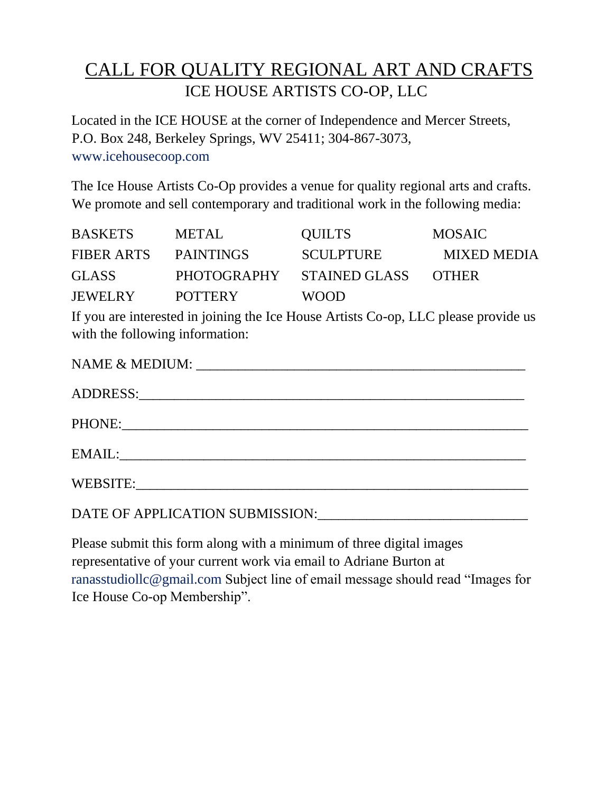## CALL FOR QUALITY REGIONAL ART AND CRAFTS ICE HOUSE ARTISTS CO-OP, LLC

Located in the ICE HOUSE at the corner of Independence and Mercer Streets, P.O. Box 248, Berkeley Springs, WV 25411; 304-867-3073, www.icehousecoop.com

The Ice House Artists Co-Op provides a venue for quality regional arts and crafts. We promote and sell contemporary and traditional work in the following media:

| <b>BASKETS</b> | <b>METAL</b>     | <b>QUILTS</b>    | <b>MOSAIC</b>      |
|----------------|------------------|------------------|--------------------|
| FIBER ARTS     | <b>PAINTINGS</b> | <b>SCULPTURE</b> | <b>MIXED MEDIA</b> |
| <b>GLASS</b>   | PHOTOGRAPHY      | STAINED GLASS    | <b>OTHER</b>       |
| <b>JEWELRY</b> | <b>POTTERY</b>   | <b>WOOD</b>      |                    |

If you are interested in joining the Ice House Artists Co-op, LLC please provide us with the following information:

| WEBSITE: |
|----------|
|          |

Please submit this form along with a minimum of three digital images representative of your current work via email to Adriane Burton at ranasstudiollc@gmail.com Subject line of email message should read "Images for Ice House Co-op Membership".